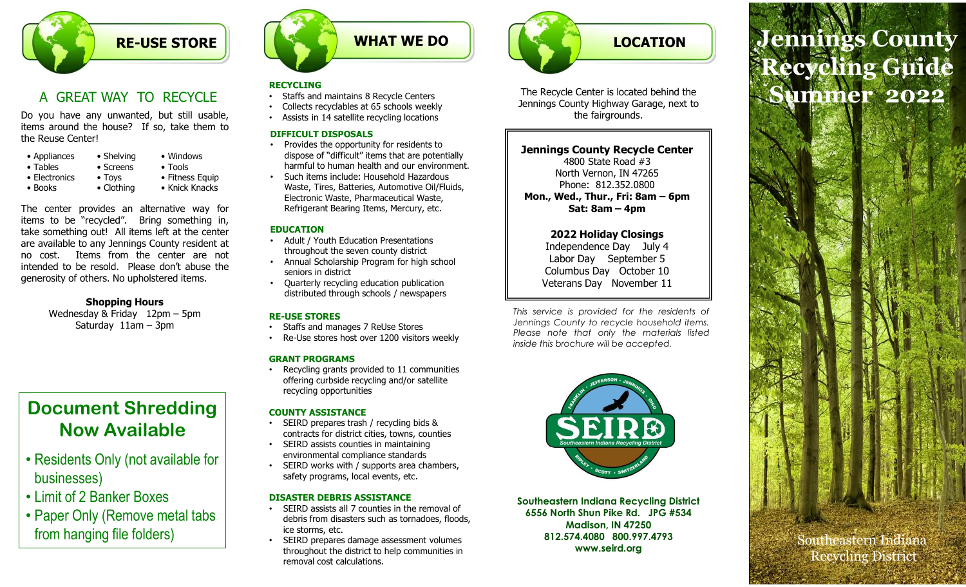

| • Appliances<br>• Tables | • Shelving<br>$\bullet$ Screens | • Windows<br>$\bullet$ Tools |
|--------------------------|---------------------------------|------------------------------|
| • Electronics            | $\bullet$ Tovs                  | • Fitness Equ                |
| • Books                  | • Clothing                      | • Knick Knacl                |

**internal of the resolution of the resolution**<br> **internal of the resolution of the resolution of the resolution of the resolution of the resolution of the resolution of the resolution of the resolution of the resolution of EXECUTE OF STORE**<br>
A GREAT WAY TO RECYCLE<br>
Do you have any unwanted, but still usable,<br>
the Reuse Centers are outdend to be use? If so, take them to<br>
the Reuse Centers of diffusions in the numerical state is to see that<br> CREAT WAY TO RECYCLIE<br>
u have any unwanted, but still usable,<br>
collects recyclables at 65 schools weekly<br>
around the house? If so, take them to<br>
use Center!<br>
around the house? If so, take them to<br>
use Center!<br>
Signing<br>
Sig EAT WAY TO RECYCLE<br>
Staffs and maintains 8 Recycle Centers<br>
e any unwanted, but still usable,<br>
Collects recycliable as a G schools weekly<br>
consider and maintains and Recycle Centers<br>
Shelving<br>
Shelving Windows<br>
Shelving W

# Shopping Hours

# Document Shredding Now Available

- Residents Only (not available for businesses)
- Limit of 2 Banker Boxes
- Paper Only (Remove metal tabs from hanging file folders)



### RECYCLING

- Staffs and maintains 8 Recycle Centers
- Collects recyclables at 65 schools weekly
- Assists in 14 satellite recycling locations

### DIFFICULT DISPOSALS

- Provides the opportunity for residents to dispose of "difficult" items that are potentially harmful to human health and our environment.
- Such items include: Household Hazardous Waste, Tires, Batteries, Automotive Oil/Fluids, Tires, Batteries, Automotive Oil/Fluids, Thur., Wed., Thur., Fri: 8am – 6pm Electronic Waste, Pharmaceutical Waste, Refrigerant Bearing Items, Mercury, etc.

### EDUCATION

- Adult / Youth Education Presentations throughout the seven county district
- Annual Scholarship Program for high school seniors in district
- Quarterly recycling education publication distributed through schools / newspapers

- 
- 

### GRANT PROGRAMS

• Recycling grants provided to 11 communities offering curbside recycling and/or satellite recycling opportunities

### COUNTY ASSISTANCE

- SEIRD prepares trash / recycling bids & contracts for district cities, towns, counties
- SEIRD assists counties in maintaining environmental compliance standards
- SEIRD works with / supports area chambers, safety programs, local events, etc.

### DISASTER DEBRIS ASSISTANCE

- SEIRD assists all 7 counties in the removal of debris from disasters such as tornadoes, floods, ice storms, etc.
- SEIRD prepares damage assessment volumes throughout the district to help communities in removal cost calculations.



The Recycle Center is located behind the Jennings County Highway Garage, next to the fairgrounds.

### Jennings County Recycle Center

4800 State Road #3 North Vernon, IN 47265 Phone: 812.352.0800 The Recycle Center is located behind the<br>
Jennings County Highway Grage, next to<br>
the fairgrounds.<br>
Tennings County Recycle Center<br>
Alotto Suck Road #3<br>
North Vernon, IN 47265<br>
Phone: 812.352.0800<br>
Mon, Wed, Thur, Fri: 8am The Recycle Center is located behind the<br>Jennings County Highway Garage, next to<br>the fairgrounds.<br>**Jennings County Recycle Center**<br>4800 State Road #3<br>North Venron, IN 47265<br>Phone: 812.352.0800<br>Phone, wed, Thur, Fri: 8am – The Recycle Center is located behind the<br>
Jennings County Highway Garage, next to<br>
the fairgrounds.<br>
The material soles Road #3<br>
North Vernon, IN 47265<br>
Phone: 812.352.0800<br>
Mon, Weal, Thur, Fri: 8am – 6pm<br>
Sat. Stam – 4pm The Recycle Center is located behind the fair of the fair of the fair of the fair of the fair of our state Read #3<br>
Thone: 81.2.352.0800<br>
Mon., Wed., Thur., Fri: 8am – 6pm<br>
2022 Holiday Cosings<br>
Theore will be accepted to

### 2022 Holiday Closings

Independence Day July 4 Labor Day September 5 Columbus Day October 10 Veterans Day November 11

RE-USE STORES<br>
This service is provided for the residents of<br>
Jennings County to recycle household items. • Staffs and manages 7 ReUse Stores<br>• Please note that only the materials listed • Re-Use stores host over 1200 visitors weekly and the more in the more in the material only the material views and this brochure will be accepted.



Southeastern Indiana Recycling District 6556 North Shun Pike Rd. JPG #534 Madison, IN 47250 812.574.4080 800.997.4793 www.seird.org

# LOCATION Jennings County Mon., Wed., Thur., Fri: 8am – 6pm<br>
2022 Holiday Closings<br>
The Recycle Center is located behind the<br>
ennings Courty Highway Garage, next to<br>
the fairgrounds.<br>
Ennings Courty Recycle Center<br>
Alson State Road #3<br>
Non., Wed., LOCATION<br>
E Center is located behind the<br>
Center is located behind the<br>
Sumty Highway Garage, next to<br>
County Recycle Center<br>
Satis Road #3<br>
(d., Thur., Fri: 8am – 6pm<br>
Sat: 8am – 4pm<br>
22 Holiday Closings<br>
Pendence Day Jul Recycling Guide Summer 2022